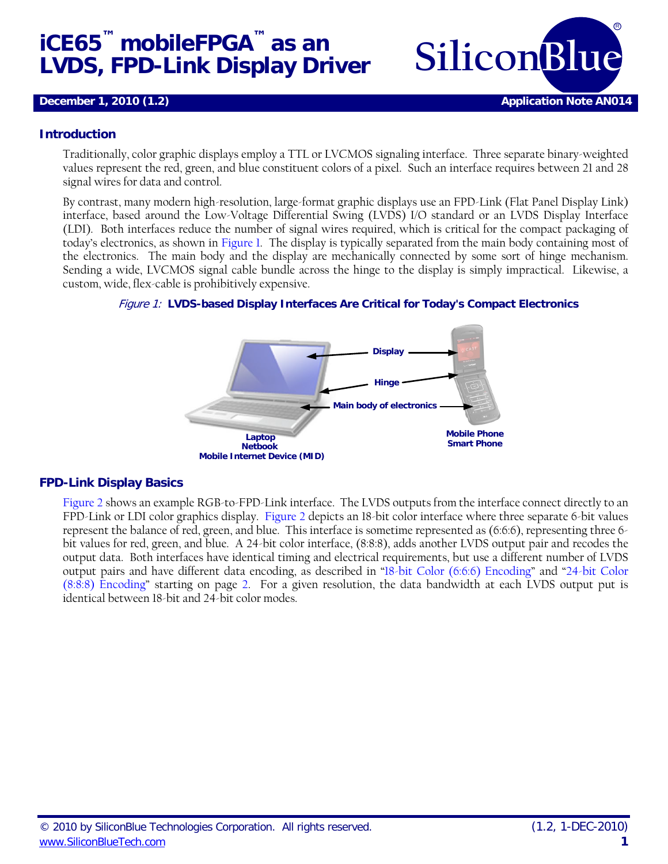# **iCE65™ mobileFPGA™ as an LVDS, FPD-Link Display Driver SiliconBlue**



#### **Introduction**

Traditionally, color graphic displays employ a TTL or LVCMOS signaling interface. Three separate binary-weighted values represent the red, green, and blue constituent colors of a pixel. Such an interface requires between 21 and 28 signal wires for data and control.

By contrast, many modern high-resolution, large-format graphic displays use an FPD-Link (Flat Panel Display Link) interface, based around the Low-Voltage Differential Swing (LVDS) I/O standard or an LVDS Display Interface (LDI). Both interfaces reduce the number of signal wires required, which is critical for the compact packaging of today's electronics, as shown in [Figure 1.](#page-0-0) The display is typically separated from the main body containing most of the electronics. The main body and the display are mechanically connected by some sort of hinge mechanism. Sending a wide, LVCMOS signal cable bundle across the hinge to the display is simply impractical. Likewise, a custom, wide, flex-cable is prohibitively expensive.

<span id="page-0-0"></span>



#### **FPD-Link Display Basics**

[Figure 2](#page-1-0) shows an example RGB-to-FPD-Link interface. The LVDS outputs from the interface connect directly to an FPD-Link or LDI color graphics display. [Figure 2](#page-1-0) depicts an 18-bit color interface where three separate 6-bit values represent the balance of red, green, and blue. This interface is sometime represented as (6:6:6), representing three 6 bit values for red, green, and blue. A 24-bit color interface, (8:8:8), adds another LVDS output pair and recodes the output data. Both interfaces have identical timing and electrical requirements, but use a different number of LVDS output pairs and have different data encoding, as described in ["18-bit Color \(6:6:6\) Encoding"](#page-1-1) and ["24-bit Color](#page-1-2)  [\(8:8:8\) Encoding"](#page-1-2) starting on page [2.](#page-1-1) For a given resolution, the data bandwidth at each LVDS output put is identical between 18-bit and 24-bit color modes.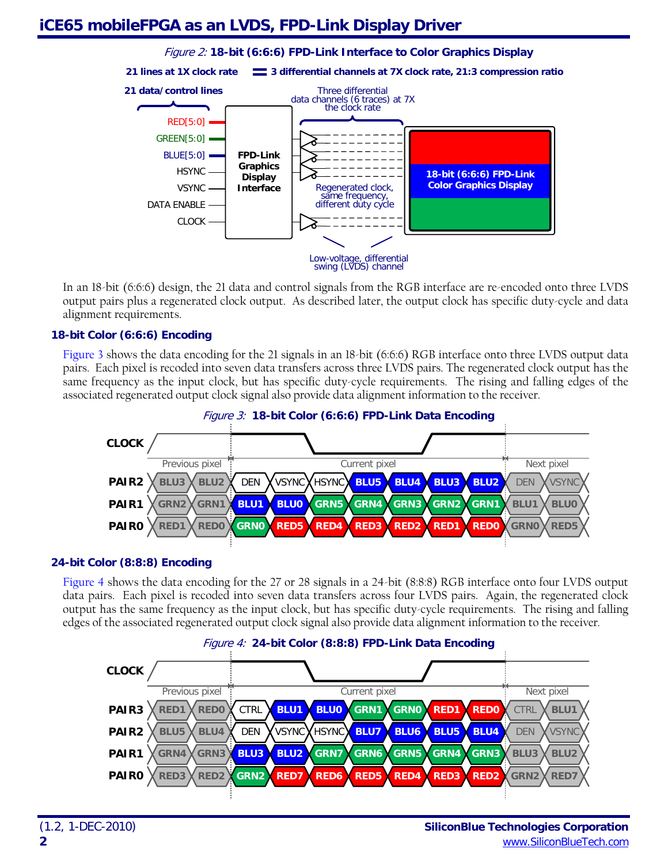## <span id="page-1-0"></span>**iCE65 mobileFPGA as an LVDS, FPD-Link Display Driver**



In an 18-bit (6:6:6) design, the 21 data and control signals from the RGB interface are re-encoded onto three LVDS output pairs plus a regenerated clock output. As described later, the output clock has specific duty-cycle and data alignment requirements.

#### <span id="page-1-1"></span>**18-bit Color (6:6:6) Encoding**

<span id="page-1-3"></span>[Figure 3](#page-1-3) shows the data encoding for the 21 signals in an 18-bit (6:6:6) RGB interface onto three LVDS output data pairs. Each pixel is recoded into seven data transfers across three LVDS pairs. The regenerated clock output has the same frequency as the input clock, but has specific duty-cycle requirements. The rising and falling edges of the associated regenerated output clock signal also provide data alignment information to the receiver.



#### Figure 3: **18-bit Color (6:6:6) FPD-Link Data Encoding**

#### <span id="page-1-2"></span>**24-bit Color (8:8:8) Encoding**

[Figure 4](#page-1-4) shows the data encoding for the 27 or 28 signals in a 24-bit (8:8:8) RGB interface onto four LVDS output data pairs. Each pixel is recoded into seven data transfers across four LVDS pairs. Again, the regenerated clock output has the same frequency as the input clock, but has specific duty-cycle requirements. The rising and falling edges of the associated regenerated output clock signal also provide data alignment information to the receiver.

<span id="page-1-4"></span>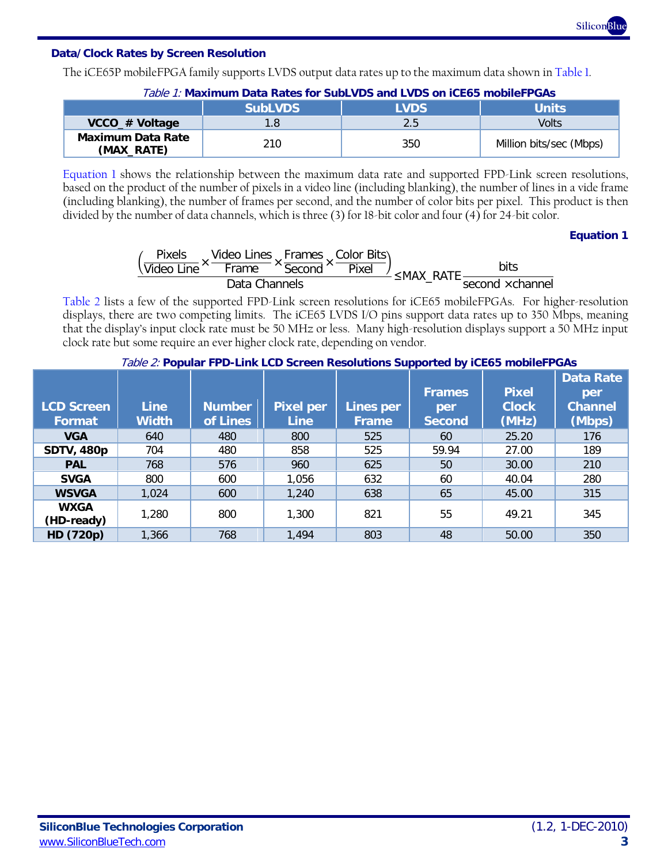

#### <span id="page-2-3"></span>**Data/Clock Rates by Screen Resolution**

The iCE65P mobileFPGA family supports LVDS output data rates up to the maximum data shown i[n Table 1.](#page-2-0)

<span id="page-2-0"></span>

| $1000$ , $11000$ , $1000$ , $1000$ , $1010$ , $1000$ , $1000$ , $1000$ , $1000$ , $1000$ , $1000$ |                |             |                         |  |  |
|---------------------------------------------------------------------------------------------------|----------------|-------------|-------------------------|--|--|
|                                                                                                   | <b>SubLVDS</b> | <b>LVDS</b> | <b>Units</b>            |  |  |
| VCCO_# Voltage                                                                                    |                | 2.5         | Volts                   |  |  |
| <b>Maximum Data Rate</b><br>(MAX_RATE)                                                            | 210            | 350         | Million bits/sec (Mbps) |  |  |

Table 1: **Maximum Data Rates for SubLVDS and LVDS on iCE65 mobileFPGAs**

<span id="page-2-1"></span>[Equation 1](#page-2-1) shows the relationship between the maximum data rate and supported FPD-Link screen resolutions, based on the product of the number of pixels in a video line (including blanking), the number of lines in a vide frame (including blanking), the number of frames per second, and the number of color bits per pixel. This product is then divided by the number of data channels, which is three (3) for 18-bit color and four (4) for 24-bit color.

#### **Equation 1**



[Table 2](#page-2-2) lists a few of the supported FPD-Link screen resolutions for iCE65 mobileFPGAs. For higher-resolution displays, there are two competing limits. The iCE65 LVDS I/O pins support data rates up to 350 Mbps, meaning that the display's input clock rate must be 50 MHz or less. Many high-resolution displays support a 50 MHz input clock rate but some require an ever higher clock rate, depending on vendor.

<span id="page-2-2"></span>

| <b>LCD Screen</b><br>Format | <b>Line</b><br><b>Width</b> | <b>Number</b><br>of Lines | <b>Pixel per</b><br><b>Line</b> | Lines per<br>Frame | <b>Frames</b><br>per<br><b>Second</b> | <b>Pixel</b><br><b>Clock</b><br>(MHz) | <b>Data Rate</b><br>per<br><b>Channel</b><br>(Mbps) |
|-----------------------------|-----------------------------|---------------------------|---------------------------------|--------------------|---------------------------------------|---------------------------------------|-----------------------------------------------------|
| <b>VGA</b>                  | 640                         | 480                       | 800                             | 525                | 60                                    | 25.20                                 | 176                                                 |
| <b>SDTV, 480p</b>           | 704                         | 480                       | 858                             | 525                | 59.94                                 | 27.00                                 | 189                                                 |
| <b>PAL</b>                  | 768                         | 576                       | 960                             | 625                | 50                                    | 30.00                                 | 210                                                 |
| <b>SVGA</b>                 | 800                         | 600                       | 1,056                           | 632                | 60                                    | 40.04                                 | 280                                                 |
| <b>WSVGA</b>                | 1,024                       | 600                       | 1,240                           | 638                | 65                                    | 45.00                                 | 315                                                 |
| <b>WXGA</b><br>(HD-ready)   | 1,280                       | 800                       | 1,300                           | 821                | 55                                    | 49.21                                 | 345                                                 |
| HD (720p)                   | 1,366                       | 768                       | 1,494                           | 803                | 48                                    | 50.00                                 | 350                                                 |

#### Table 2: **Popular FPD-Link LCD Screen Resolutions Supported by iCE65 mobileFPGAs**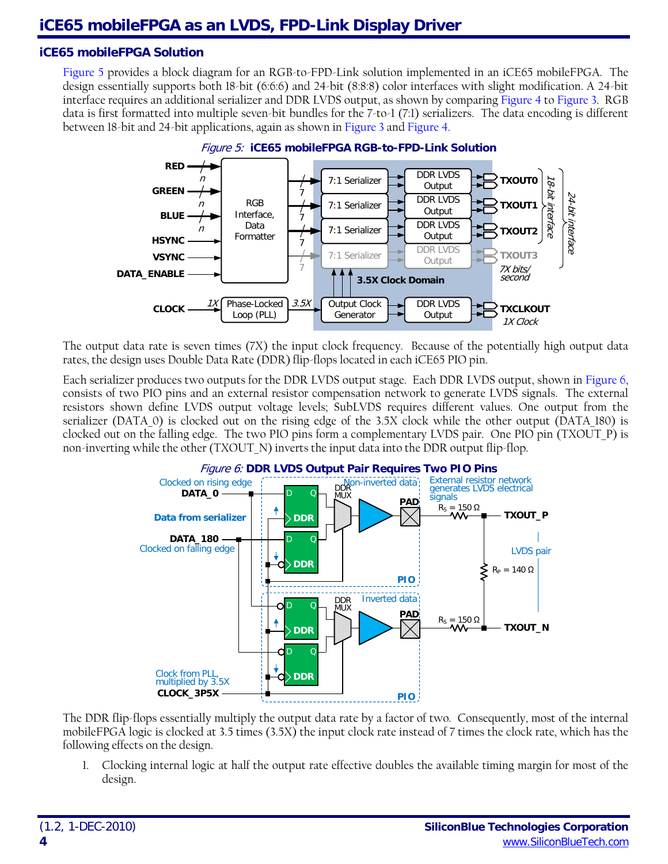#### **iCE65 mobileFPGA Solution**

[Figure 5](#page-3-0) provides a block diagram for an RGB-to-FPD-Link solution implemented in an iCE65 mobileFPGA. The design essentially supports both 18-bit (6:6:6) and 24-bit (8:8:8) color interfaces with slight modification. A 24-bit interface requires an additional serializer and DDR LVDS output, as shown by comparing [Figure 4](#page-1-4) t[o Figure 3.](#page-1-3) RGB data is first formatted into multiple seven-bit bundles for the 7-to-1 (7:1) serializers. The data encoding is different between 18-bit and 24-bit applications, again as shown in [Figure 3](#page-1-3) an[d Figure 4.](#page-1-4)

<span id="page-3-0"></span>

The output data rate is seven times (7X) the input clock frequency. Because of the potentially high output data rates, the design uses Double Data Rate (DDR) flip-flops located in each iCE65 PIO pin.

<span id="page-3-1"></span>Each serializer produces two outputs for the DDR LVDS output stage. Each DDR LVDS output, shown i[n Figure 6,](#page-3-1) consists of two PIO pins and an external resistor compensation network to generate LVDS signals. The external resistors shown define LVDS output voltage levels; SubLVDS requires different values. One output from the serializer (DATA\_0) is clocked out on the rising edge of the 3.5X clock while the other output (DATA\_180) is clocked out on the falling edge. The two PIO pins form a complementary LVDS pair. One PIO pin (TXOUT\_P) is non-inverting while the other (TXOUT\_N) inverts the input data into the DDR output flip-flop.



The DDR flip-flops essentially multiply the output data rate by a factor of two. Consequently, most of the internal mobileFPGA logic is clocked at 3.5 times (3.5X) the input clock rate instead of 7 times the clock rate, which has the following effects on the design.

1. Clocking internal logic at half the output rate effective doubles the available timing margin for most of the design.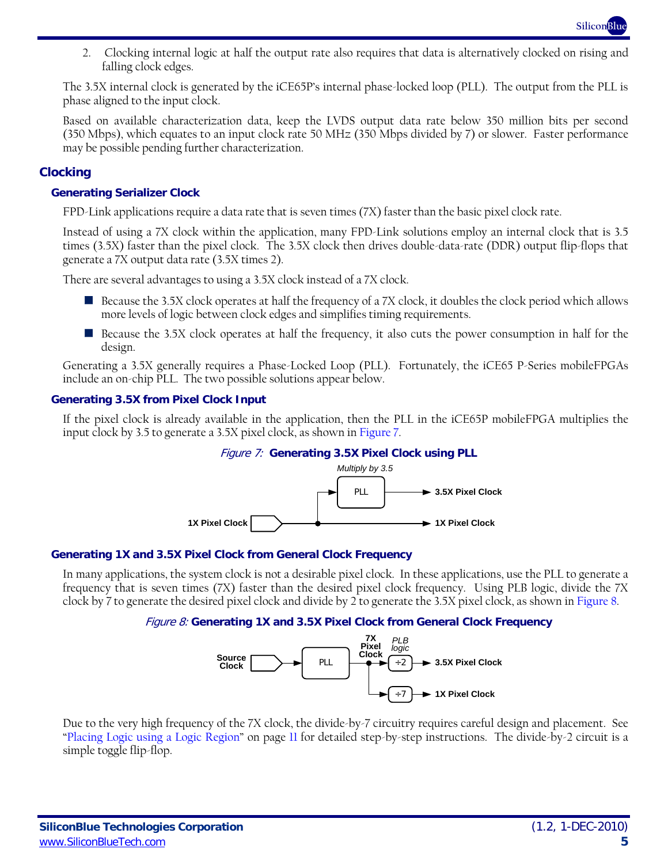2. Clocking internal logic at half the output rate also requires that data is alternatively clocked on rising and falling clock edges.

The 3.5X internal clock is generated by the iCE65P's internal phase-locked loop (PLL). The output from the PLL is phase aligned to the input clock.

Based on available characterization data, keep the LVDS output data rate below 350 million bits per second (350 Mbps), which equates to an input clock rate 50 MHz (350 Mbps divided by 7) or slower. Faster performance may be possible pending further characterization.

#### **Clocking**

#### **Generating Serializer Clock**

FPD-Link applications require a data rate that is seven times (7X) faster than the basic pixel clock rate.

Instead of using a 7X clock within the application, many FPD-Link solutions employ an internal clock that is 3.5 times (3.5X) faster than the pixel clock. The 3.5X clock then drives double-data-rate (DDR) output flip-flops that generate a 7X output data rate (3.5X times 2).

There are several advantages to using a 3.5X clock instead of a 7X clock.

- Because the 3.5X clock operates at half the frequency of a 7X clock, it doubles the clock period which allows more levels of logic between clock edges and simplifies timing requirements.
- Because the 3.5X clock operates at half the frequency, it also cuts the power consumption in half for the design.

Generating a 3.5X generally requires a Phase-Locked Loop (PLL). Fortunately, the iCE65 P-Series mobileFPGAs include an on-chip PLL. The two possible solutions appear below.

#### **Generating 3.5X from Pixel Clock Input**

<span id="page-4-0"></span>If the pixel clock is already available in the application, then the PLL in the iCE65P mobileFPGA multiplies the input clock by 3.5 to generate a 3.5X pixel clock, as shown i[n Figure 7.](#page-4-0)



#### **Generating 1X and 3.5X Pixel Clock from General Clock Frequency**

<span id="page-4-1"></span>In many applications, the system clock is not a desirable pixel clock. In these applications, use the PLL to generate a frequency that is seven times (7X) faster than the desired pixel clock frequency. Using PLB logic, divide the 7X clock by 7 to generate the desired pixel clock and divide by 2 to generate the 3.5X pixel clock, as shown in [Figure 8.](#page-4-1)

#### Figure 8: **Generating 1X and 3.5X Pixel Clock from General Clock Frequency**



Due to the very high frequency of the 7X clock, the divide-by-7 circuitry requires careful design and placement. See ["Placing Logic using a Logic Region"](#page-10-0) on page [11](#page-10-0) for detailed step-by-step instructions. The divide-by-2 circuit is a simple toggle flip-flop.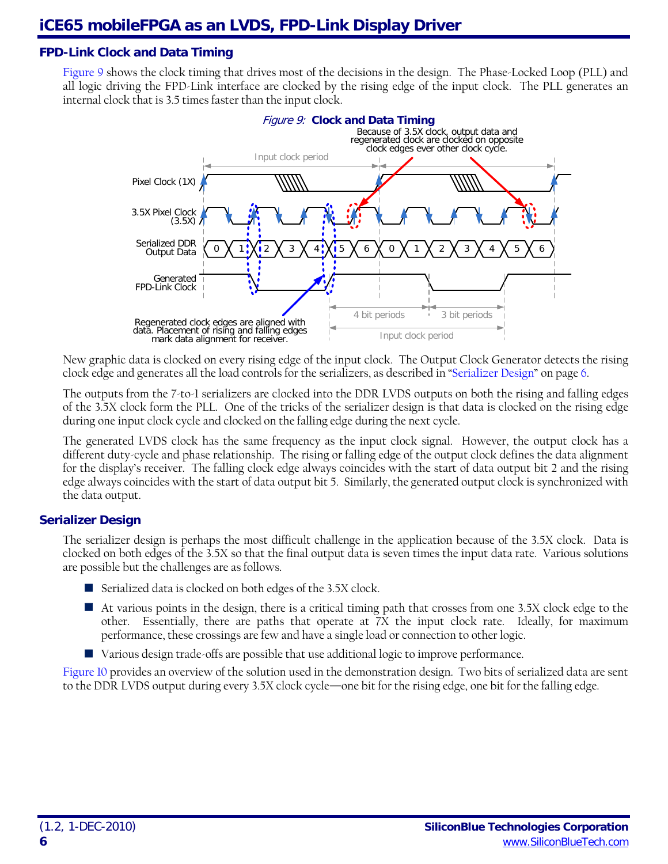#### **FPD-Link Clock and Data Timing**

<span id="page-5-0"></span>[Figure 9](#page-5-0) shows the clock timing that drives most of the decisions in the design. The Phase-Locked Loop (PLL) and all logic driving the FPD-Link interface are clocked by the rising edge of the input clock. The PLL generates an internal clock that is 3.5 times faster than the input clock.



New graphic data is clocked on every rising edge of the input clock. The Output Clock Generator detects the rising clock edge and generates all the load controls for the serializers, as described in ["Serializer Design"](#page-5-1) on pag[e 6.](#page-5-1)

The outputs from the 7-to-1 serializers are clocked into the DDR LVDS outputs on both the rising and falling edges of the 3.5X clock form the PLL. One of the tricks of the serializer design is that data is clocked on the rising edge during one input clock cycle and clocked on the falling edge during the next cycle.

The generated LVDS clock has the same frequency as the input clock signal. However, the output clock has a different duty-cycle and phase relationship. The rising or falling edge of the output clock defines the data alignment for the display's receiver. The falling clock edge always coincides with the start of data output bit 2 and the rising edge always coincides with the start of data output bit 5. Similarly, the generated output clock is synchronized with the data output.

#### <span id="page-5-1"></span>**Serializer Design**

The serializer design is perhaps the most difficult challenge in the application because of the 3.5X clock. Data is clocked on both edges of the 3.5X so that the final output data is seven times the input data rate. Various solutions are possible but the challenges are as follows.

- Serialized data is clocked on both edges of the 3.5X clock.
- At various points in the design, there is a critical timing path that crosses from one 3.5X clock edge to the other. Essentially, there are paths that operate at 7X the input clock rate. Ideally, for maximum performance, these crossings are few and have a single load or connection to other logic.
- Various design trade-offs are possible that use additional logic to improve performance.

[Figure 10](#page-6-0) provides an overview of the solution used in the demonstration design. Two bits of serialized data are sent to the DDR LVDS output during every 3.5X clock cycle—one bit for the rising edge, one bit for the falling edge.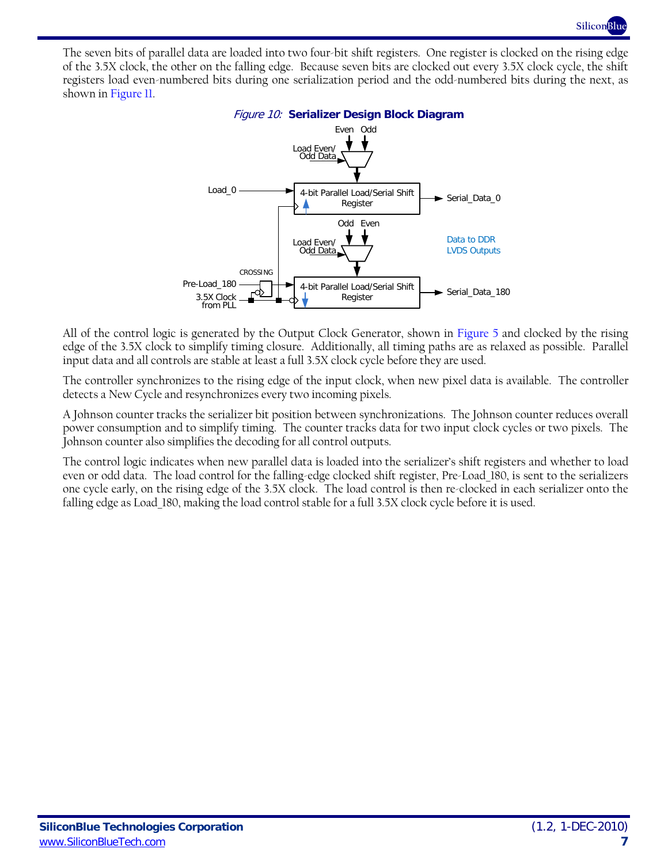

<span id="page-6-0"></span>The seven bits of parallel data are loaded into two four-bit shift registers. One register is clocked on the rising edge of the 3.5X clock, the other on the falling edge. Because seven bits are clocked out every 3.5X clock cycle, the shift registers load even-numbered bits during one serialization period and the odd-numbered bits during the next, as shown in [Figure 11.](#page-7-0)



All of the control logic is generated by the Output Clock Generator, shown in [Figure 5](#page-3-0) and clocked by the rising edge of the 3.5X clock to simplify timing closure. Additionally, all timing paths are as relaxed as possible. Parallel input data and all controls are stable at least a full 3.5X clock cycle before they are used.

The controller synchronizes to the rising edge of the input clock, when new pixel data is available. The controller detects a New Cycle and resynchronizes every two incoming pixels.

A Johnson counter tracks the serializer bit position between synchronizations. The Johnson counter reduces overall power consumption and to simplify timing. The counter tracks data for two input clock cycles or two pixels. The Johnson counter also simplifies the decoding for all control outputs.

The control logic indicates when new parallel data is loaded into the serializer's shift registers and whether to load even or odd data. The load control for the falling-edge clocked shift register, Pre-Load\_180, is sent to the serializers one cycle early, on the rising edge of the 3.5X clock. The load control is then re-clocked in each serializer onto the falling edge as Load\_180, making the load control stable for a full 3.5X clock cycle before it is used.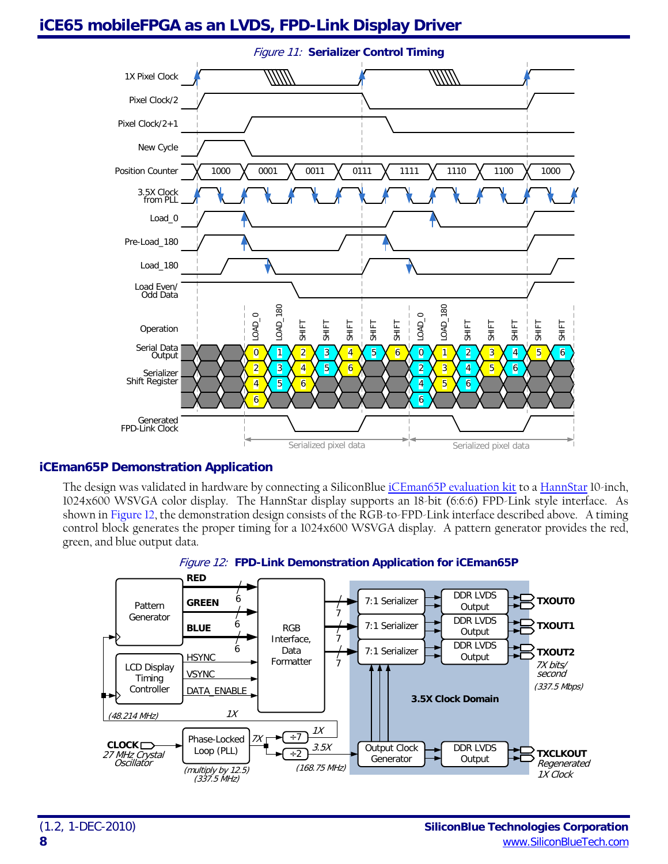# <span id="page-7-0"></span>**iCE65 mobileFPGA as an LVDS, FPD-Link Display Driver**



### **iCEman65P Demonstration Application**

The design was validated in hardware by connecting a SiliconBlue [iCEman65P evaluation kit](http://www.siliconbluetech.com/products/evaluation_kits/iCEmanP04.aspx) to a [HannStar](http://www.siliconbluetech.com/media/downloads/Hannstar10inchHSD100IFW1-A00.pdf) 10-inch, 1024x600 WSVGA color display. The HannStar display supports an 18-bit (6:6:6) FPD-Link style interface. As shown i[n Figure 12,](#page-7-1) the demonstration design consists of the RGB-to-FPD-Link interface described above. A timing control block generates the proper timing for a 1024x600 WSVGA display. A pattern generator provides the red, green, and blue output data.

<span id="page-7-1"></span>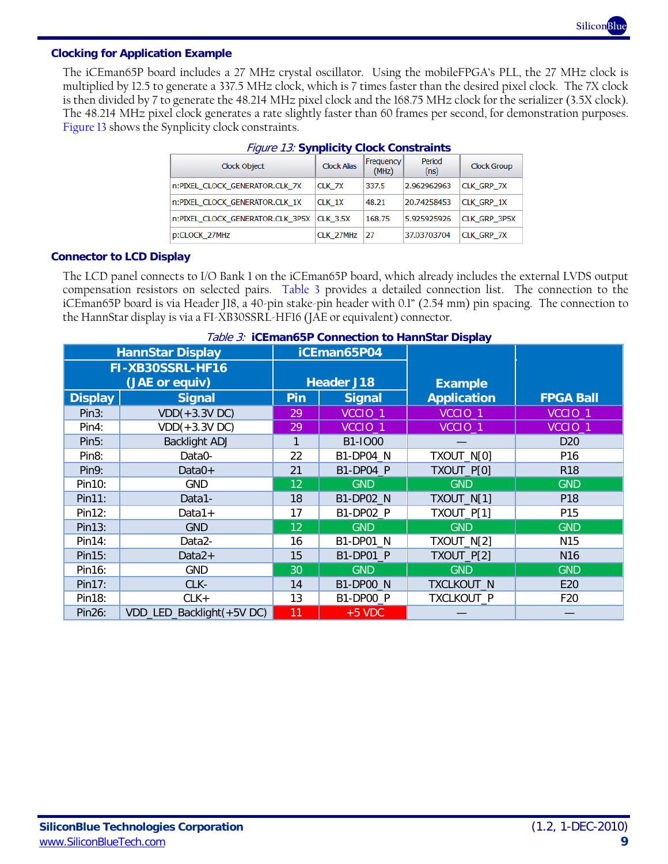**SiliconBlue**

#### **Clocking for Application Example**

<span id="page-8-0"></span>The iCEman65P board includes a 27 MHz crystal oscillator. Using the mobileFPGA's PLL, the 27 MHz clock is multiplied by 12.5 to generate a 337.5 MHz clock, which is 7 times faster than the desired pixel clock. The 7X clock is then divided by 7 to generate the 48.214 MHz pixel clock and the 168.75 MHz clock for the serializer (3.5X clock). The 48.214 MHz pixel clock generates a rate slightly faster than 60 frames per second, for demonstration purposes. [Figure 13](#page-8-0) shows the Synplicity clock constraints.

| Clock Object                     | <b>Clock Alias</b> | Frequency<br>(MHz) | Period<br>(ns) | <b>Clock Group</b> |
|----------------------------------|--------------------|--------------------|----------------|--------------------|
| n:PIXEL_CLOCK_GENERATOR.CLK_7X   | CLK 7X             | 337.5              | 2.962962963    | <b>CLK GRP 7X</b>  |
| n:PIXEL_CLOCK_GENERATOR.CLK_1X   | CLK 1X             | 48.21              | 20.74258453    | <b>CLK GRP 1X</b>  |
| n:PIXEL CLOCK GENERATOR.CLK 3P5X | <b>CLK 3.5X</b>    | 168.75             | 5.925925926    | CLK GRP 3P5X       |
| p:CLOCK_27MHz                    | CLK 27MHz          | 27                 | 37.03703704    | <b>CLK GRP 7X</b>  |

#### Figure 13: **Synplicity Clock Constraints**

#### **Connector to LCD Display**

The LCD panel connects to I/O Bank 1 on the iCEman65P board, which already includes the external LVDS output compensation resistors on selected pairs. [Table 3](#page-8-1) provides a detailed connection list. The connection to the iCEman65P board is via Header J18, a 40-pin stake-pin header with 0.1" (2.54 mm) pin spacing. The connection to the HannStar display is via a FI-XB30SSRL-HF16 (JAE or equivalent) connector.

<span id="page-8-1"></span>

| <b>HannStar Display</b> |                           | $10000$ $\sigma$ . To Employmouth constructs to the motor Display<br>iCEman65P04 |                    |                    |                    |
|-------------------------|---------------------------|----------------------------------------------------------------------------------|--------------------|--------------------|--------------------|
| FI-XB30SSRL-HF16        |                           |                                                                                  |                    |                    |                    |
|                         | (JAE or equiv)            |                                                                                  | <b>Header J18</b>  | <b>Example</b>     |                    |
| <b>Display</b>          | <b>Signal</b>             | Pin                                                                              | <b>Signal</b>      | <b>Application</b> | <b>FPGA Ball</b>   |
| Pin3:                   | $VDD(+3.3VDC)$            | 29                                                                               | VCCIO <sub>1</sub> | VCCIO <sub>1</sub> | VCCIO <sub>1</sub> |
| Pin4:                   | $VDD(+3.3V)$              | 29                                                                               | VCCIO_1            | VCCIO_1            | VCCIO_1            |
| Pin5:                   | <b>Backlight ADJ</b>      |                                                                                  | B1-IO00            |                    | D <sub>20</sub>    |
| Pin <sub>8:</sub>       | Data0-                    | 22                                                                               | B1-DP04_N          | TXOUT_N[0]         | P16                |
| Pin9:                   | Data $0+$                 | 21                                                                               | B1-DP04_P          | TXOUT_P[0]         | <b>R18</b>         |
| Pin10:                  | <b>GND</b>                | 12                                                                               | <b>GND</b>         | <b>GND</b>         | <b>GND</b>         |
| Pin11:                  | Data1-                    | 18                                                                               | B1-DP02_N          | TXOUT_N[1]         | P <sub>18</sub>    |
| Pin12:                  | $Data1+$                  | 17                                                                               | B1-DP02_P          | TXOUT_P[1]         | P15                |
| Pin13:                  | <b>GND</b>                | 12                                                                               | <b>GND</b>         | <b>GND</b>         | <b>GND</b>         |
| Pin14:                  | Data2-                    | 16                                                                               | B1-DP01_N          | TXOUT_N[2]         | N15                |
| Pin15:                  | Data $2+$                 | 15                                                                               | B1-DP01 P          | TXOUT_P[2]         | N16                |
| Pin16:                  | <b>GND</b>                | 30                                                                               | <b>GND</b>         | <b>GND</b>         | <b>GND</b>         |
| Pin17:                  | CLK-                      | 14                                                                               | <b>B1-DP00_N</b>   | TXCLKOUT_N         | E20                |
| Pin18:                  | $CLK +$                   | 13                                                                               | B1-DP00 P          | TXCLKOUT P         | F <sub>20</sub>    |
| Pin26:                  | VDD_LED_Backlight(+5V DC) | 11                                                                               | $+5$ VDC           |                    |                    |

#### Table 3: **iCEman65P Connection to HannStar Display**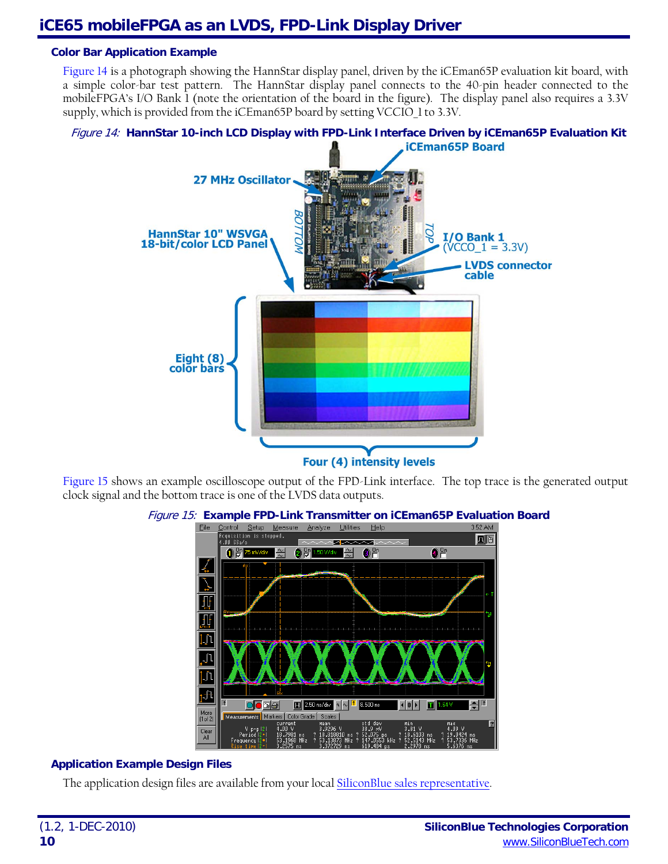#### **Color Bar Application Example**

[Figure 14](#page-9-0) is a photograph showing the HannStar display panel, driven by the iCEman65P evaluation kit board, with a simple color-bar test pattern. The HannStar display panel connects to the 40-pin header connected to the mobileFPGA's I/O Bank 1 (note the orientation of the board in the figure). The display panel also requires a 3.3V supply, which is provided from the iCEman65P board by setting VCCIO 1 to 3.3V.

#### <span id="page-9-0"></span>Figure 14: **HannStar 10-inch LCD Display with FPD-Link Interface Driven by iCEman65P Evaluation Kit**



**Four (4) intensity levels** 

<span id="page-9-1"></span>[Figure 15](#page-9-1) shows an example oscilloscope output of the FPD-Link interface. The top trace is the generated output clock signal and the bottom trace is one of the LVDS data outputs.



#### Figure 15: **Example FPD-Link Transmitter on iCEman65P Evaluation Board**

#### **Application Example Design Files**

The application design files are available from your local [SiliconBlue sales representative.](http://www.siliconbluetech.com/sales.aspx)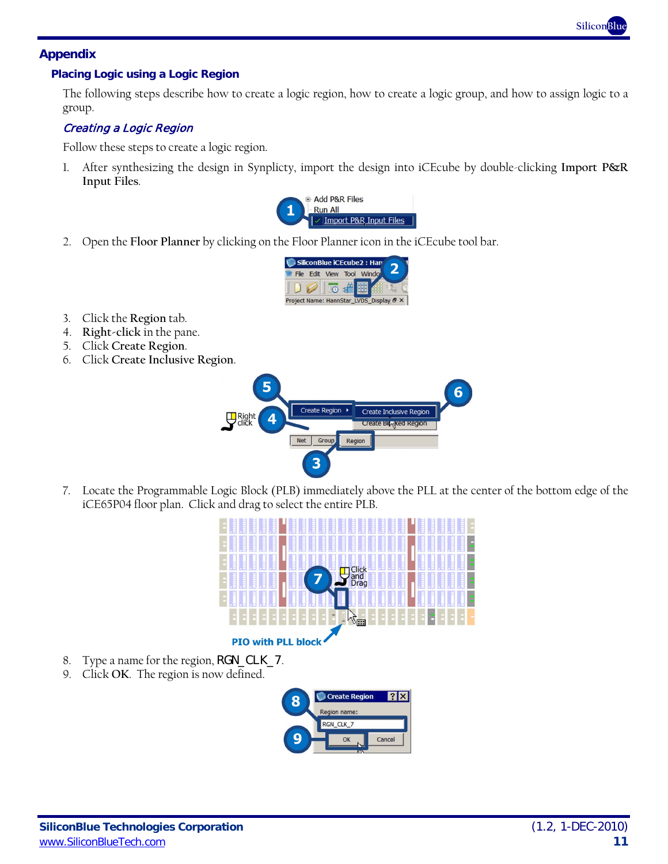

### **Appendix**

#### <span id="page-10-0"></span>**Placing Logic using a Logic Region**

The following steps describe how to create a logic region, how to create a logic group, and how to assign logic to a group.

#### Creating a Logic Region

Follow these steps to create a logic region.

1. After synthesizing the design in Synplicty, import the design into iCEcube by double-clicking **Import P&R Input Files**.



2. Open the **Floor Planner** by clicking on the Floor Planner icon in the iCEcube tool bar.



- 3. Click the **Region** tab.
- 4. **Right-click** in the pane.
- 5. Click **Create Region**.
- 6. Click **Create Inclusive Region**.



7. Locate the Programmable Logic Block (PLB) immediately above the PLL at the center of the bottom edge of the iCE65P04 floor plan. Click and drag to select the entire PLB.



- 8. Type a name for the region, **RGN\_CLK\_7**.
- 9. Click **OK**. The region is now defined.

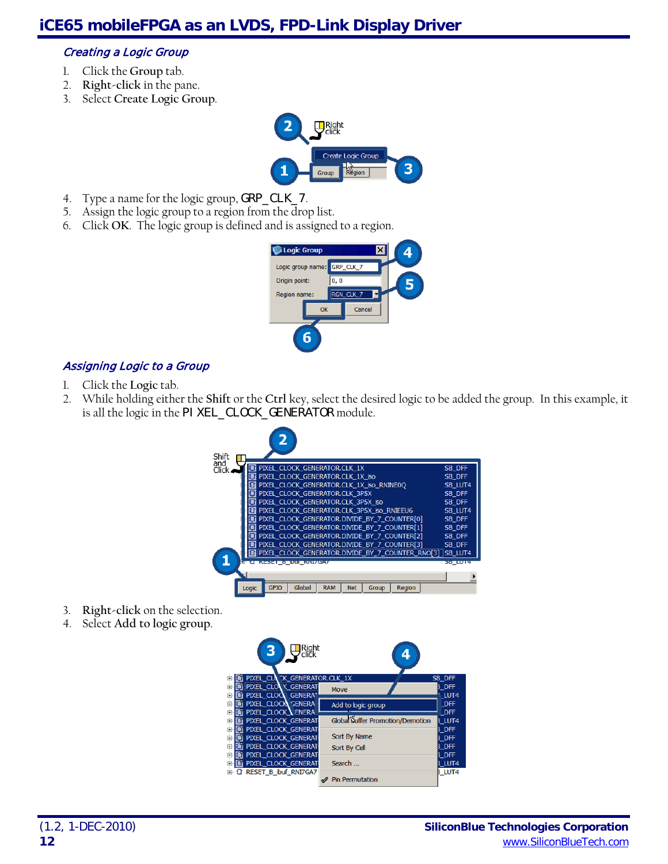#### Creating a Logic Group

- 1. Click the **Group** tab.
- 2. **Right-click** in the pane.
- 3. Select **Create Logic Group**.



- 4. Type a name for the logic group, GRP\_CLK\_7.
- 5. Assign the logic group to a region from the drop list.
- 6. Click **OK**. The logic group is defined and is assigned to a region.



### Assigning Logic to a Group

- 1. Click the **Logic** tab.
- 2. While holding either the **Shift** or the **Ctrl** key, select the desired logic to be added the group. In this example, it is all the logic in the PI XEL\_CLOCK\_GENERATOR module.



- 3. **Right-click** on the selection.
- 4. Select **Add to logic group**.

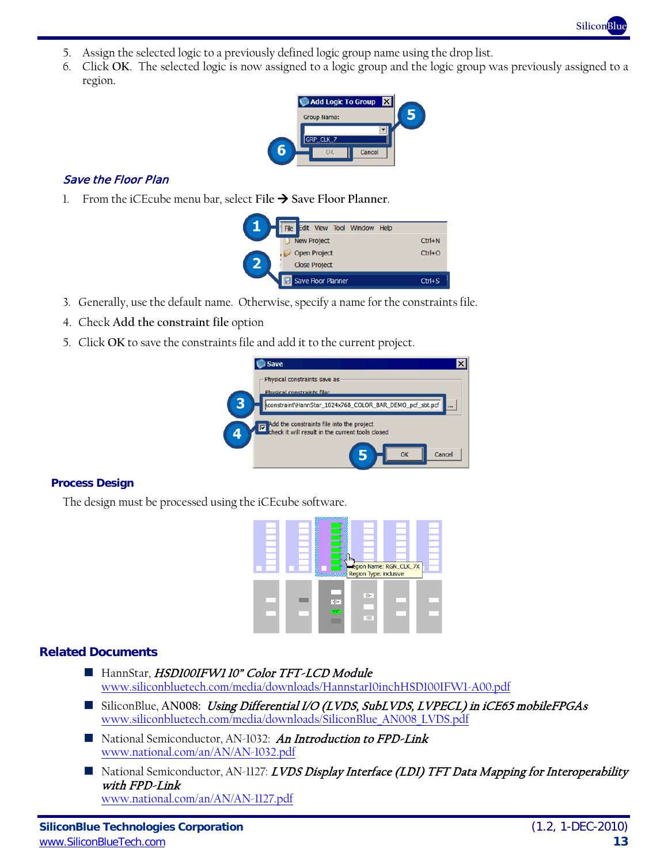- 5. Assign the selected logic to a previously defined logic group name using the drop list.
- 6. Click **OK**. The selected logic is now assigned to a logic group and the logic group was previously assigned to a region.



### Save the Floor Plan

1. From the iCEcube menu bar, select File  $\rightarrow$  Save Floor Planner.

|              | File Edit View Tool Window Help |            |
|--------------|---------------------------------|------------|
|              | <b>New Project</b>              | $Ctrl + N$ |
|              | <b>Open Project</b>             | $Ctrl + O$ |
| $\mathbf{z}$ | <b>Close Project</b>            |            |
|              | Save Floor Planner              | $Ctr1+S$   |

- 3. Generally, use the default name. Otherwise, specify a name for the constraints file.
- 4. Check **Add the constraint file** option
- 5. Click **OK** to save the constraints file and add it to the current project.



#### **Process Design**

The design must be processed using the iCEcube software.

|  | m<br>m,<br>a an<br><br>gin<br>egion Name: RGN_CLK_7X<br>Region Type: inclusive |
|--|--------------------------------------------------------------------------------|
|  | $\overline{r}$<br>प्रपुर<br><b>JULI</b>                                        |

#### **Related Documents**

- HannStar, HSD100IFW1 10" Color TFT-LCD Module [www.siliconbluetech.com/media/downloads/Hannstar10inchHSD100IFW1-A00.pdf](http://www.siliconbluetech.com/media/downloads/Hannstar10inchHSD100IFW1-A00.pdf)
- SiliconBlue, AN008: Using Differential I/O (LVDS, SubLVDS, LVPECL) in iCE65 mobileFPGAs [www.siliconbluetech.com/media/downloads/SiliconBlue\\_AN008\\_LVDS.pdf](http://www.siliconbluetech.com/media/downloads/SiliconBlue_AN008_LVDS.pdf)
- National Semiconductor, AN-1032: An Introduction to FPD-Link [www.national.com/an/AN/AN-1032.pdf](http://www.national.com/an/AN/AN-1032.pdf)
- National Semiconductor, AN-1127: LVDS Display Interface (LDI) TFT Data Mapping for Interoperability with FPD-Link [www.national.com/an/AN/AN-1127.pdf](http://www.national.com/an/AN/AN-1127.pdf)